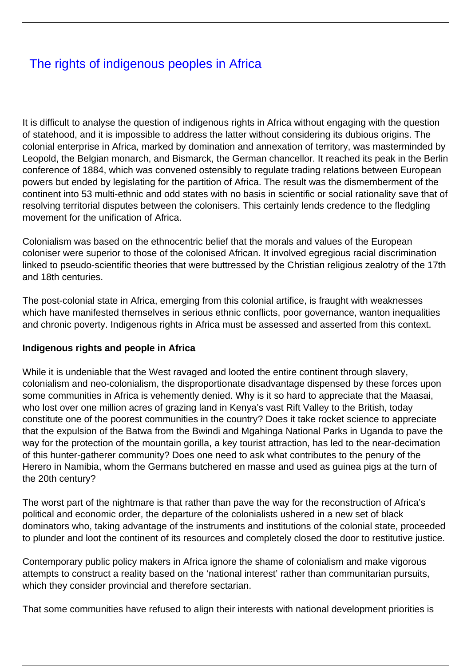# [The rights of indigenous peoples in Africa](/bulletin-articles/the-rights-of-indigenous-peoples-in-africa)

It is difficult to analyse the question of indigenous rights in Africa without engaging with the question of statehood, and it is impossible to address the latter without considering its dubious origins. The colonial enterprise in Africa, marked by domination and annexation of territory, was masterminded by Leopold, the Belgian monarch, and Bismarck, the German chancellor. It reached its peak in the Berlin conference of 1884, which was convened ostensibly to regulate trading relations between European powers but ended by legislating for the partition of Africa. The result was the dismemberment of the continent into 53 multi-ethnic and odd states with no basis in scientific or social rationality save that of resolving territorial disputes between the colonisers. This certainly lends credence to the fledgling movement for the unification of Africa.

Colonialism was based on the ethnocentric belief that the morals and values of the European coloniser were superior to those of the colonised African. It involved egregious racial discrimination linked to pseudo-scientific theories that were buttressed by the Christian religious zealotry of the 17th and 18th centuries.

The post-colonial state in Africa, emerging from this colonial artifice, is fraught with weaknesses which have manifested themselves in serious ethnic conflicts, poor governance, wanton inequalities and chronic poverty. Indigenous rights in Africa must be assessed and asserted from this context.

### **Indigenous rights and people in Africa**

While it is undeniable that the West ravaged and looted the entire continent through slavery, colonialism and neo-colonialism, the disproportionate disadvantage dispensed by these forces upon some communities in Africa is vehemently denied. Why is it so hard to appreciate that the Maasai, who lost over one million acres of grazing land in Kenya's vast Rift Valley to the British, today constitute one of the poorest communities in the country? Does it take rocket science to appreciate that the expulsion of the Batwa from the Bwindi and Mgahinga National Parks in Uganda to pave the way for the protection of the mountain gorilla, a key tourist attraction, has led to the near-decimation of this hunter-gatherer community? Does one need to ask what contributes to the penury of the Herero in Namibia, whom the Germans butchered en masse and used as guinea pigs at the turn of the 20th century?

The worst part of the nightmare is that rather than pave the way for the reconstruction of Africa's political and economic order, the departure of the colonialists ushered in a new set of black dominators who, taking advantage of the instruments and institutions of the colonial state, proceeded to plunder and loot the continent of its resources and completely closed the door to restitutive justice.

Contemporary public policy makers in Africa ignore the shame of colonialism and make vigorous attempts to construct a reality based on the 'national interest' rather than communitarian pursuits, which they consider provincial and therefore sectarian.

That some communities have refused to align their interests with national development priorities is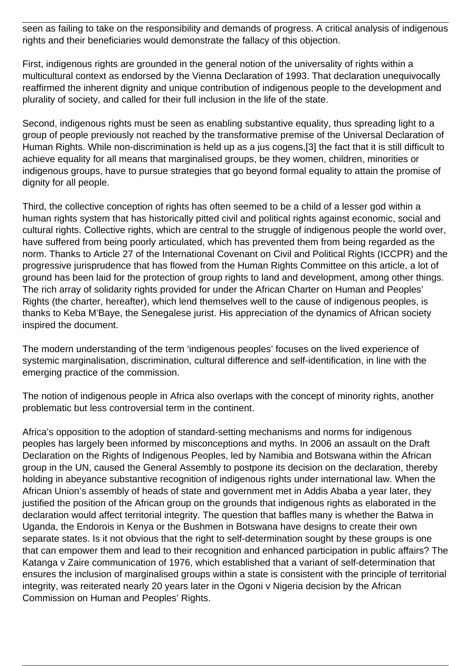seen as failing to take on the responsibility and demands of progress. A critical analysis of indigenous rights and their beneficiaries would demonstrate the fallacy of this objection.

First, indigenous rights are grounded in the general notion of the universality of rights within a multicultural context as endorsed by the Vienna Declaration of 1993. That declaration unequivocally reaffirmed the inherent dignity and unique contribution of indigenous people to the development and plurality of society, and called for their full inclusion in the life of the state.

Second, indigenous rights must be seen as enabling substantive equality, thus spreading light to a group of people previously not reached by the transformative premise of the Universal Declaration of Human Rights. While non-discrimination is held up as a jus cogens,[3] the fact that it is still difficult to achieve equality for all means that marginalised groups, be they women, children, minorities or indigenous groups, have to pursue strategies that go beyond formal equality to attain the promise of dignity for all people.

Third, the collective conception of rights has often seemed to be a child of a lesser god within a human rights system that has historically pitted civil and political rights against economic, social and cultural rights. Collective rights, which are central to the struggle of indigenous people the world over, have suffered from being poorly articulated, which has prevented them from being regarded as the norm. Thanks to Article 27 of the International Covenant on Civil and Political Rights (ICCPR) and the progressive jurisprudence that has flowed from the Human Rights Committee on this article, a lot of ground has been laid for the protection of group rights to land and development, among other things. The rich array of solidarity rights provided for under the African Charter on Human and Peoples' Rights (the charter, hereafter), which lend themselves well to the cause of indigenous peoples, is thanks to Keba M'Baye, the Senegalese jurist. His appreciation of the dynamics of African society inspired the document.

The modern understanding of the term 'indigenous peoples' focuses on the lived experience of systemic marginalisation, discrimination, cultural difference and self-identification, in line with the emerging practice of the commission.

The notion of indigenous people in Africa also overlaps with the concept of minority rights, another problematic but less controversial term in the continent.

Africa's opposition to the adoption of standard-setting mechanisms and norms for indigenous peoples has largely been informed by misconceptions and myths. In 2006 an assault on the Draft Declaration on the Rights of Indigenous Peoples, led by Namibia and Botswana within the African group in the UN, caused the General Assembly to postpone its decision on the declaration, thereby holding in abeyance substantive recognition of indigenous rights under international law. When the African Union's assembly of heads of state and government met in Addis Ababa a year later, they justified the position of the African group on the grounds that indigenous rights as elaborated in the declaration would affect territorial integrity. The question that baffles many is whether the Batwa in Uganda, the Endorois in Kenya or the Bushmen in Botswana have designs to create their own separate states. Is it not obvious that the right to self-determination sought by these groups is one that can empower them and lead to their recognition and enhanced participation in public affairs? The Katanga v Zaire communication of 1976, which established that a variant of self-determination that ensures the inclusion of marginalised groups within a state is consistent with the principle of territorial integrity, was reiterated nearly 20 years later in the Ogoni v Nigeria decision by the African Commission on Human and Peoples' Rights.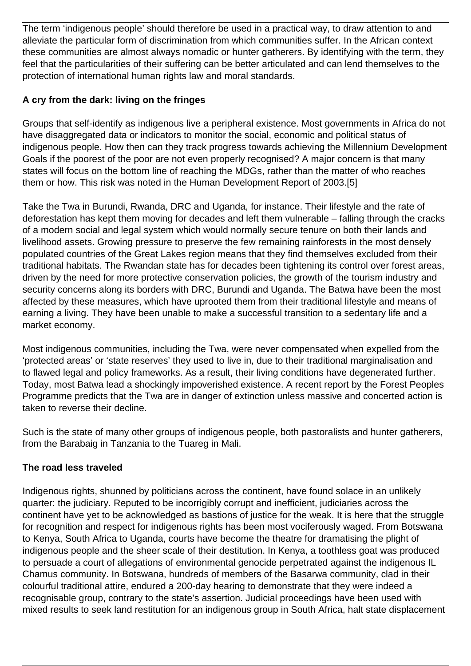The term 'indigenous people' should therefore be used in a practical way, to draw attention to and alleviate the particular form of discrimination from which communities suffer. In the African context these communities are almost always nomadic or hunter gatherers. By identifying with the term, they feel that the particularities of their suffering can be better articulated and can lend themselves to the protection of international human rights law and moral standards.

## **A cry from the dark: living on the fringes**

Groups that self-identify as indigenous live a peripheral existence. Most governments in Africa do not have disaggregated data or indicators to monitor the social, economic and political status of indigenous people. How then can they track progress towards achieving the Millennium Development Goals if the poorest of the poor are not even properly recognised? A major concern is that many states will focus on the bottom line of reaching the MDGs, rather than the matter of who reaches them or how. This risk was noted in the Human Development Report of 2003.[5]

Take the Twa in Burundi, Rwanda, DRC and Uganda, for instance. Their lifestyle and the rate of deforestation has kept them moving for decades and left them vulnerable – falling through the cracks of a modern social and legal system which would normally secure tenure on both their lands and livelihood assets. Growing pressure to preserve the few remaining rainforests in the most densely populated countries of the Great Lakes region means that they find themselves excluded from their traditional habitats. The Rwandan state has for decades been tightening its control over forest areas, driven by the need for more protective conservation policies, the growth of the tourism industry and security concerns along its borders with DRC, Burundi and Uganda. The Batwa have been the most affected by these measures, which have uprooted them from their traditional lifestyle and means of earning a living. They have been unable to make a successful transition to a sedentary life and a market economy.

Most indigenous communities, including the Twa, were never compensated when expelled from the 'protected areas' or 'state reserves' they used to live in, due to their traditional marginalisation and to flawed legal and policy frameworks. As a result, their living conditions have degenerated further. Today, most Batwa lead a shockingly impoverished existence. A recent report by the Forest Peoples Programme predicts that the Twa are in danger of extinction unless massive and concerted action is taken to reverse their decline.

Such is the state of many other groups of indigenous people, both pastoralists and hunter gatherers, from the Barabaig in Tanzania to the Tuareg in Mali.

## **The road less traveled**

Indigenous rights, shunned by politicians across the continent, have found solace in an unlikely quarter: the judiciary. Reputed to be incorrigibly corrupt and inefficient, judiciaries across the continent have yet to be acknowledged as bastions of justice for the weak. It is here that the struggle for recognition and respect for indigenous rights has been most vociferously waged. From Botswana to Kenya, South Africa to Uganda, courts have become the theatre for dramatising the plight of indigenous people and the sheer scale of their destitution. In Kenya, a toothless goat was produced to persuade a court of allegations of environmental genocide perpetrated against the indigenous IL Chamus community. In Botswana, hundreds of members of the Basarwa community, clad in their colourful traditional attire, endured a 200-day hearing to demonstrate that they were indeed a recognisable group, contrary to the state's assertion. Judicial proceedings have been used with mixed results to seek land restitution for an indigenous group in South Africa, halt state displacement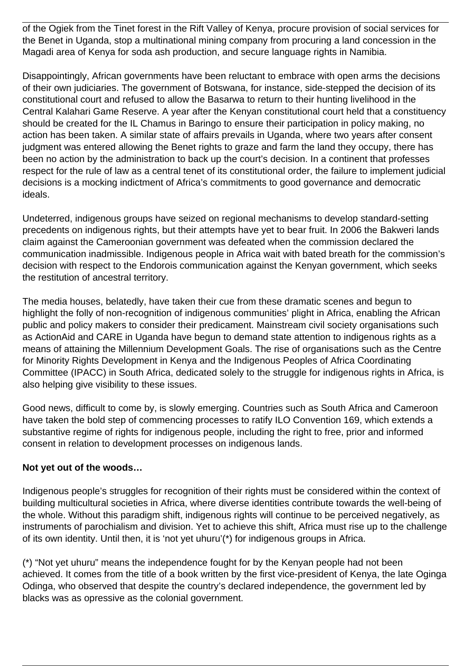of the Ogiek from the Tinet forest in the Rift Valley of Kenya, procure provision of social services for the Benet in Uganda, stop a multinational mining company from procuring a land concession in the Magadi area of Kenya for soda ash production, and secure language rights in Namibia.

Disappointingly, African governments have been reluctant to embrace with open arms the decisions of their own judiciaries. The government of Botswana, for instance, side-stepped the decision of its constitutional court and refused to allow the Basarwa to return to their hunting livelihood in the Central Kalahari Game Reserve. A year after the Kenyan constitutional court held that a constituency should be created for the IL Chamus in Baringo to ensure their participation in policy making, no action has been taken. A similar state of affairs prevails in Uganda, where two years after consent judgment was entered allowing the Benet rights to graze and farm the land they occupy, there has been no action by the administration to back up the court's decision. In a continent that professes respect for the rule of law as a central tenet of its constitutional order, the failure to implement judicial decisions is a mocking indictment of Africa's commitments to good governance and democratic ideals.

Undeterred, indigenous groups have seized on regional mechanisms to develop standard-setting precedents on indigenous rights, but their attempts have yet to bear fruit. In 2006 the Bakweri lands claim against the Cameroonian government was defeated when the commission declared the communication inadmissible. Indigenous people in Africa wait with bated breath for the commission's decision with respect to the Endorois communication against the Kenyan government, which seeks the restitution of ancestral territory.

The media houses, belatedly, have taken their cue from these dramatic scenes and begun to highlight the folly of non-recognition of indigenous communities' plight in Africa, enabling the African public and policy makers to consider their predicament. Mainstream civil society organisations such as ActionAid and CARE in Uganda have begun to demand state attention to indigenous rights as a means of attaining the Millennium Development Goals. The rise of organisations such as the Centre for Minority Rights Development in Kenya and the Indigenous Peoples of Africa Coordinating Committee (IPACC) in South Africa, dedicated solely to the struggle for indigenous rights in Africa, is also helping give visibility to these issues.

Good news, difficult to come by, is slowly emerging. Countries such as South Africa and Cameroon have taken the bold step of commencing processes to ratify ILO Convention 169, which extends a substantive regime of rights for indigenous people, including the right to free, prior and informed consent in relation to development processes on indigenous lands.

### **Not yet out of the woods…**

Indigenous people's struggles for recognition of their rights must be considered within the context of building multicultural societies in Africa, where diverse identities contribute towards the well-being of the whole. Without this paradigm shift, indigenous rights will continue to be perceived negatively, as instruments of parochialism and division. Yet to achieve this shift, Africa must rise up to the challenge of its own identity. Until then, it is 'not yet uhuru'(\*) for indigenous groups in Africa.

(\*) "Not yet uhuru" means the independence fought for by the Kenyan people had not been achieved. It comes from the title of a book written by the first vice-president of Kenya, the late Oginga Odinga, who observed that despite the country's declared independence, the government led by blacks was as opressive as the colonial government.